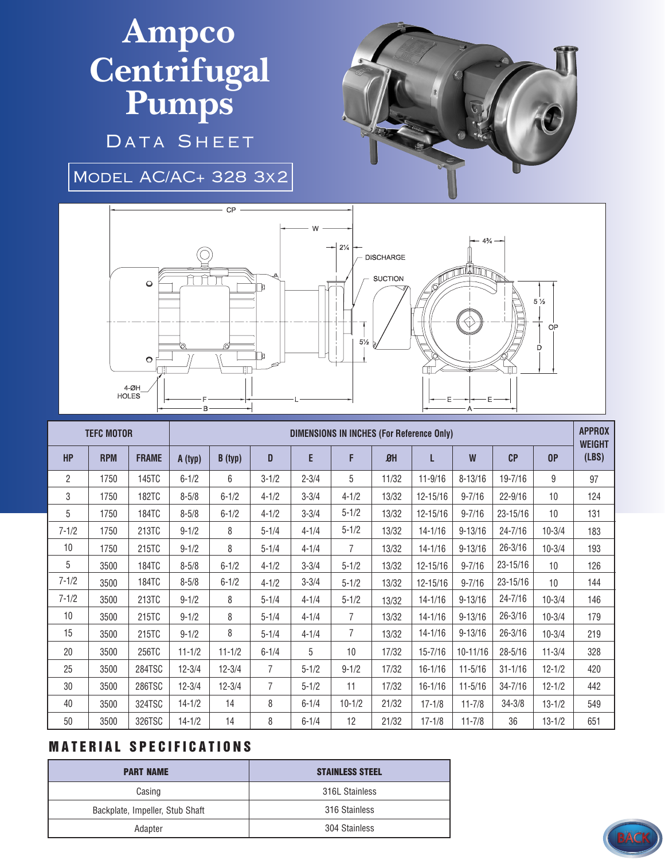## **Ampco Centrifugal Pumps**

DATA SHEET

Model AC/AC+ 328 3x2



|                | <b>TEFC MOTOR</b> |              | <b>DIMENSIONS IN INCHES (For Reference Only)</b> |            |                |           |                |            |             |              |              |            | <b>APPROX</b><br><b>WEIGHT</b> |
|----------------|-------------------|--------------|--------------------------------------------------|------------|----------------|-----------|----------------|------------|-------------|--------------|--------------|------------|--------------------------------|
| <b>HP</b>      | <b>RPM</b>        | <b>FRAME</b> | A (typ)                                          | B(typ)     | D              | E         | F              | $\theta$ H | L           | W            | CP           | 0P         | (LBS)                          |
| $\overline{2}$ | 1750              | 145TC        | $6 - 1/2$                                        | 6          | $3 - 1/2$      | $2 - 3/4$ | 5              | 11/32      | $11 - 9/16$ | $8 - 13/16$  | 19-7/16      | 9          | 97                             |
| 3              | 1750              | <b>182TC</b> | $8 - 5/8$                                        | $6 - 1/2$  | $4 - 1/2$      | $3 - 3/4$ | $4 - 1/2$      | 13/32      | 12-15/16    | $9 - 7/16$   | $22 - 9/16$  | 10         | 124                            |
| 5              | 1750              | 184TC        | $8 - 5/8$                                        | $6 - 1/2$  | $4 - 1/2$      | $3 - 3/4$ | $5 - 1/2$      | 13/32      | 12-15/16    | $9 - 7/16$   | 23-15/16     | 10         | 131                            |
| $7 - 1/2$      | 1750              | 213TC        | $9 - 1/2$                                        | 8          | $5 - 1/4$      | $4 - 1/4$ | $5 - 1/2$      | 13/32      | $14 - 1/16$ | $9 - 13/16$  | $24 - 7/16$  | $10 - 3/4$ | 183                            |
| 10             | 1750              | 215TC        | $9 - 1/2$                                        | 8          | $5 - 1/4$      | $4 - 1/4$ | $\overline{7}$ | 13/32      | $14 - 1/16$ | $9 - 13/16$  | $26 - 3/16$  | $10 - 3/4$ | 193                            |
| 5              | 3500              | 184TC        | $8 - 5/8$                                        | $6 - 1/2$  | $4 - 1/2$      | $3 - 3/4$ | $5 - 1/2$      | 13/32      | 12-15/16    | $9 - 7/16$   | $23 - 15/16$ | 10         | 126                            |
| $7 - 1/2$      | 3500              | 184TC        | $8 - 5/8$                                        | $6 - 1/2$  | $4 - 1/2$      | $3 - 3/4$ | $5 - 1/2$      | 13/32      | 12-15/16    | $9 - 7/16$   | $23 - 15/16$ | 10         | 144                            |
| $7 - 1/2$      | 3500              | 213TC        | $9 - 1/2$                                        | 8          | $5 - 1/4$      | $4 - 1/4$ | $5 - 1/2$      | 13/32      | $14 - 1/16$ | $9 - 13/16$  | 24-7/16      | $10 - 3/4$ | 146                            |
| 10             | 3500              | 215TC        | $9 - 1/2$                                        | 8          | $5 - 1/4$      | $4 - 1/4$ | $\overline{7}$ | 13/32      | $14 - 1/16$ | $9 - 13/16$  | $26 - 3/16$  | $10 - 3/4$ | 179                            |
| 15             | 3500              | 215TC        | $9 - 1/2$                                        | 8          | $5 - 1/4$      | $4 - 1/4$ | $\overline{7}$ | 13/32      | $14 - 1/16$ | $9 - 13/16$  | $26 - 3/16$  | $10 - 3/4$ | 219                            |
| 20             | 3500              | 256TC        | $11 - 1/2$                                       | $11 - 1/2$ | $6 - 1/4$      | 5         | 10             | 17/32      | $15 - 7/16$ | $10 - 11/16$ | $28 - 5/16$  | $11 - 3/4$ | 328                            |
| 25             | 3500              | 284TSC       | $12 - 3/4$                                       | $12 - 3/4$ | $\overline{7}$ | $5 - 1/2$ | $9 - 1/2$      | 17/32      | $16 - 1/16$ | $11 - 5/16$  | $31 - 1/16$  | $12 - 1/2$ | 420                            |
| 30             | 3500              | 286TSC       | $12 - 3/4$                                       | $12 - 3/4$ | $\overline{7}$ | $5 - 1/2$ | 11             | 17/32      | $16 - 1/16$ | $11 - 5/16$  | $34 - 7/16$  | $12 - 1/2$ | 442                            |
| 40             | 3500              | 324TSC       | $14 - 1/2$                                       | 14         | 8              | $6 - 1/4$ | $10 - 1/2$     | 21/32      | $17 - 1/8$  | $11 - 7/8$   | $34 - 3/8$   | $13 - 1/2$ | 549                            |
| 50             | 3500              | 326TSC       | $14 - 1/2$                                       | 14         | 8              | $6 - 1/4$ | 12             | 21/32      | $17 - 1/8$  | $11 - 7/8$   | 36           | $13 - 1/2$ | 651                            |

## **MATERIAL SPECIFICATIONS**

| <b>PART NAME</b>                | <b>STAINLESS STEEL</b> |  |  |  |  |
|---------------------------------|------------------------|--|--|--|--|
| Casing                          | 316L Stainless         |  |  |  |  |
| Backplate, Impeller, Stub Shaft | 316 Stainless          |  |  |  |  |
| Adapter                         | 304 Stainless          |  |  |  |  |